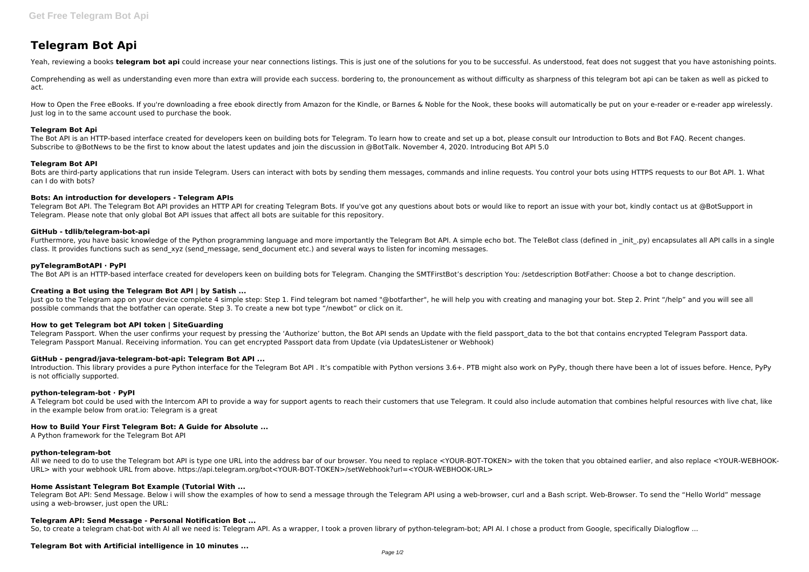# **Telegram Bot Api**

Yeah, reviewing a books telegram bot api could increase your near connections listings. This is just one of the solutions for you to be successful. As understood, feat does not suggest that you have astonishing points.

Comprehending as well as understanding even more than extra will provide each success. bordering to, the pronouncement as without difficulty as sharpness of this telegram bot api can be taken as well as picked to act.

How to Open the Free eBooks. If you're downloading a free ebook directly from Amazon for the Kindle, or Barnes & Noble for the Nook, these books will automatically be put on your e-reader or e-reader app wirelessly. Just log in to the same account used to purchase the book.

## **Telegram Bot Api**

Telegram Bot API. The Telegram Bot API provides an HTTP API for creating Telegram Bots. If you've got any questions about bots or would like to report an issue with your bot, kindly contact us at @BotSupport in Telegram. Please note that only global Bot API issues that affect all bots are suitable for this repository.

The Bot API is an HTTP-based interface created for developers keen on building bots for Telegram. To learn how to create and set up a bot, please consult our Introduction to Bots and Bot FAQ. Recent changes. Subscribe to @BotNews to be the first to know about the latest updates and join the discussion in @BotTalk. November 4, 2020. Introducing Bot API 5.0

Furthermore, you have basic knowledge of the Python programming language and more importantly the Telegram Bot API. A simple echo bot. The TeleBot class (defined in \_init\_.py) encapsulates all API calls in a single class. It provides functions such as send\_xyz (send\_message, send\_document etc.) and several ways to listen for incoming messages.

#### **Telegram Bot API**

Bots are third-party applications that run inside Telegram. Users can interact with bots by sending them messages, commands and inline requests. You control your bots using HTTPS requests to our Bot API. 1. What can I do with bots?

Just go to the Telegram app on your device complete 4 simple step: Step 1. Find telegram bot named "@botfarther", he will help you with creating and managing your bot. Step 2. Print "/help" and you will see all possible commands that the botfather can operate. Step 3. To create a new bot type "/newbot" or click on it.

#### **Bots: An introduction for developers - Telegram APIs**

Telegram Passport. When the user confirms your request by pressing the 'Authorize' button, the Bot API sends an Update with the field passport data to the bot that contains encrypted Telegram Passport data. Telegram Passport Manual. Receiving information. You can get encrypted Passport data from Update (via UpdatesListener or Webhook)

Introduction. This library provides a pure Python interface for the Telegram Bot API . It's compatible with Python versions 3.6+. PTB might also work on PyPy, though there have been a lot of issues before. Hence, PyPy is not officially supported.

#### **GitHub - tdlib/telegram-bot-api**

#### **pyTelegramBotAPI · PyPI**

The Bot API is an HTTP-based interface created for developers keen on building bots for Telegram. Changing the SMTFirstBot's description You: /setdescription BotFather: Choose a bot to change description.

## **Creating a Bot using the Telegram Bot API | by Satish ...**

## **How to get Telegram bot API token | SiteGuarding**

#### **GitHub - pengrad/java-telegram-bot-api: Telegram Bot API ...**

#### **python-telegram-bot · PyPI**

A Telegram bot could be used with the Intercom API to provide a way for support agents to reach their customers that use Telegram. It could also include automation that combines helpful resources with live chat, like in the example below from orat.io: Telegram is a great

#### **How to Build Your First Telegram Bot: A Guide for Absolute ...**

A Python framework for the Telegram Bot API

#### **python-telegram-bot**

All we need to do to use the Telegram bot API is type one URL into the address bar of our browser. You need to replace <YOUR-BOT-TOKEN> with the token that you obtained earlier, and also replace <YOUR-WEBHOOK-URL> with your webhook URL from above. https://api.telegram.org/bot<YOUR-BOT-TOKEN>/setWebhook?url=<YOUR-WEBHOOK-URL>

#### **Home Assistant Telegram Bot Example (Tutorial With ...**

Telegram Bot API: Send Message. Below i will show the examples of how to send a message through the Telegram API using a web-browser, curl and a Bash script. Web-Browser. To send the "Hello World" message using a web-browser, just open the URL:

#### **Telegram API: Send Message - Personal Notification Bot ...**

So, to create a telegram chat-bot with AI all we need is: Telegram API. As a wrapper, I took a proven library of python-telegram-bot; API AI. I chose a product from Google, specifically Dialogflow ...

## **Telegram Bot with Artificial intelligence in 10 minutes ...**